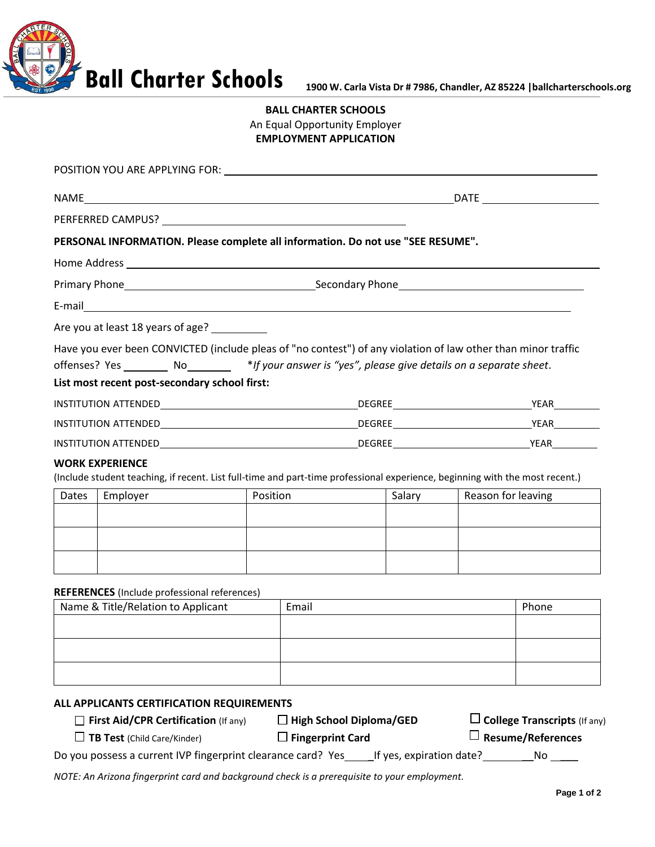

## **BALL CHARTER SCHOOLS** An Equal Opportunity Employer **EMPLOYMENT APPLICATION**

|                                                                                           |                                               |          | PERSONAL INFORMATION. Please complete all information. Do not use "SEE RESUME".                        |                                                                                                                              |  |
|-------------------------------------------------------------------------------------------|-----------------------------------------------|----------|--------------------------------------------------------------------------------------------------------|------------------------------------------------------------------------------------------------------------------------------|--|
|                                                                                           |                                               |          |                                                                                                        |                                                                                                                              |  |
|                                                                                           |                                               |          |                                                                                                        |                                                                                                                              |  |
|                                                                                           |                                               |          |                                                                                                        |                                                                                                                              |  |
|                                                                                           | Are you at least 18 years of age?             |          |                                                                                                        |                                                                                                                              |  |
|                                                                                           |                                               |          |                                                                                                        | Have you ever been CONVICTED (include pleas of "no contest") of any violation of law other than minor traffic                |  |
|                                                                                           |                                               |          | offenses? Yes _________ No_________ *If your answer is "yes", please give details on a separate sheet. |                                                                                                                              |  |
|                                                                                           | List most recent post-secondary school first: |          |                                                                                                        |                                                                                                                              |  |
|                                                                                           |                                               |          |                                                                                                        |                                                                                                                              |  |
|                                                                                           |                                               |          |                                                                                                        |                                                                                                                              |  |
|                                                                                           |                                               |          |                                                                                                        |                                                                                                                              |  |
|                                                                                           | <b>WORK EXPERIENCE</b>                        |          |                                                                                                        | (Include student teaching, if recent. List full-time and part-time professional experience, beginning with the most recent.) |  |
| Dates                                                                                     | Employer                                      | Position | Salary                                                                                                 | Reason for leaving                                                                                                           |  |
|                                                                                           |                                               |          |                                                                                                        |                                                                                                                              |  |
|                                                                                           |                                               |          |                                                                                                        |                                                                                                                              |  |
|                                                                                           |                                               |          |                                                                                                        |                                                                                                                              |  |
|                                                                                           |                                               |          |                                                                                                        |                                                                                                                              |  |
| <b>REFERENCES</b> (Include professional references)<br>Name & Title/Relation to Applicant |                                               |          |                                                                                                        | Phone                                                                                                                        |  |
|                                                                                           |                                               | Email    |                                                                                                        |                                                                                                                              |  |
|                                                                                           |                                               |          |                                                                                                        |                                                                                                                              |  |
|                                                                                           |                                               |          |                                                                                                        |                                                                                                                              |  |
|                                                                                           |                                               |          |                                                                                                        |                                                                                                                              |  |

**TB Test** (Child Care/Kinder) **Fingerprint Card Resume/References**

Do you possess a current IVP fingerprint clearance card? Yes \_\_\_\_\_If yes, expiration date? \_\_\_\_\_\_\_\_\_\_\_\_No \_\_\_\_

*NOTE: An Arizona fingerprint card and background check is a prerequisite to your employment.*